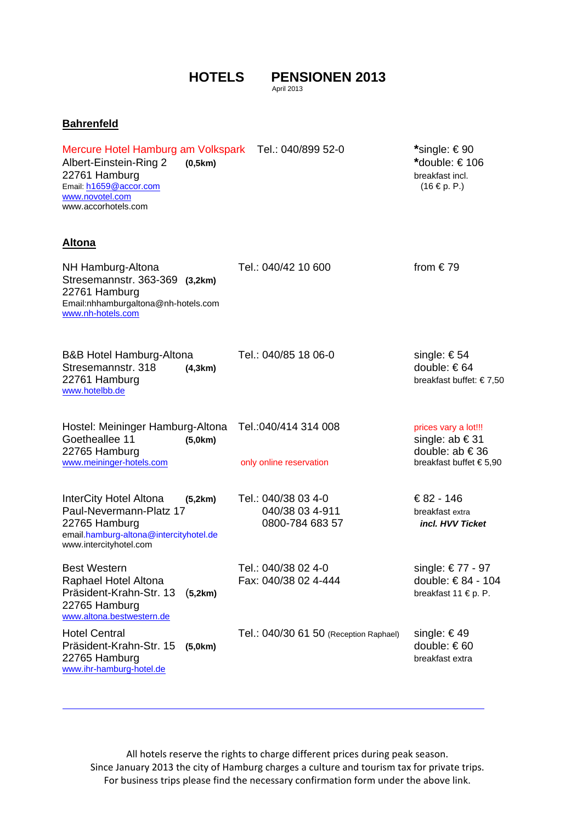## **HOTELS PENSIONEN 2013**

April 2013

## **Bahrenfeld**

Mercure Hotel Hamburg am Volkspark Tel.: 040/899 52-0 **\***single: € 90 Albert-Einstein-Ring 2 **(0,5km) \***double: € 106

22761 Hamburg breakfast incl.<br>
Email: <u>h1659@accor.com</u> 6. http://www.faster.com/incl. email: http://www.faster.com/incl. email: http://www.faster.com/incl. email: http://www.faster.com/incl. email: http://www.faster.com/ Email: h1659@accor.com www.novotel.com www.accorhotels.com

## **Altona**

| NH Hamburg-Altona<br>Stresemannstr. 363-369 (3,2km)<br>22761 Hamburg<br>Email:nhhamburgaltona@nh-hotels.com<br>www.nh-hotels.com                  | Tel.: 040/42 10 600                                       | from $€79$                                                                              |
|---------------------------------------------------------------------------------------------------------------------------------------------------|-----------------------------------------------------------|-----------------------------------------------------------------------------------------|
| <b>B&amp;B Hotel Hamburg-Altona</b><br>Stresemannstr. 318<br>(4,3km)<br>22761 Hamburg<br>www.hotelbb.de                                           | Tel.: 040/85 18 06-0                                      | single: €54<br>double: €64<br>breakfast buffet: €7,50                                   |
| Hostel: Meininger Hamburg-Altona<br>Goetheallee 11<br>(5,0km)<br>22765 Hamburg<br>www.meininger-hotels.com                                        | Tel.: 040/414 314 008<br>only online reservation          | prices vary a lot!!!<br>single: ab €31<br>double: $ab \in 36$<br>breakfast buffet €5,90 |
| InterCity Hotel Altona<br>(5,2km)<br>Paul-Nevermann-Platz 17<br>22765 Hamburg<br>email.hamburg-altona@intercityhotel.de<br>www.intercityhotel.com | Tel.: 040/38 03 4-0<br>040/38 03 4-911<br>0800-784 683 57 | €82 - 146<br>breakfast extra<br>incl. HVV Ticket                                        |
| <b>Best Western</b><br>Raphael Hotel Altona<br>Präsident-Krahn-Str. 13<br>(5,2km)<br>22765 Hamburg<br>www.altona.bestwestern.de                   | Tel.: 040/38 02 4-0<br>Fax: 040/38 02 4-444               | single: €77 - 97<br>double: €84 - 104<br>breakfast 11 € p. P.                           |
| <b>Hotel Central</b><br>Präsident-Krahn-Str. 15<br>(5,0km)<br>22765 Hamburg<br>www.ihr-hamburg-hotel.de                                           | Tel.: 040/30 61 50 (Reception Raphael)                    | single: €49<br>double: €60<br>breakfast extra                                           |

All hotels reserve the rights to charge different prices during peak season. Since January 2013 the city of Hamburg charges a culture and tourism tax for private trips. For business trips please find the necessary confirmation form under the above link.